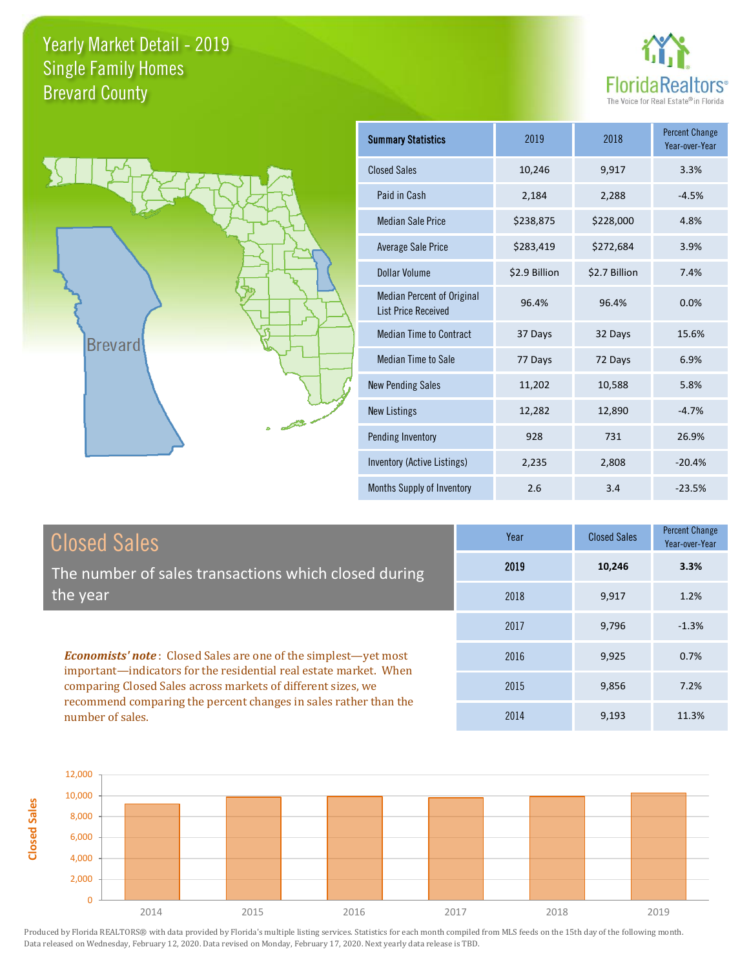**Closed Sales**





| <b>Summary Statistics</b>                                       | 2019          | 2018          | <b>Percent Change</b><br>Year-over-Year |
|-----------------------------------------------------------------|---------------|---------------|-----------------------------------------|
| <b>Closed Sales</b>                                             | 10,246        | 9,917         | 3.3%                                    |
| Paid in Cash                                                    | 2,184         | 2,288         | $-4.5%$                                 |
| <b>Median Sale Price</b>                                        | \$238,875     | \$228,000     | 4.8%                                    |
| Average Sale Price                                              | \$283,419     | \$272,684     | 3.9%                                    |
| <b>Dollar Volume</b>                                            | \$2.9 Billion | \$2.7 Billion | 7.4%                                    |
| <b>Median Percent of Original</b><br><b>List Price Received</b> | 96.4%         | 96.4%         | 0.0%                                    |
| <b>Median Time to Contract</b>                                  | 37 Days       | 32 Days       | 15.6%                                   |
| <b>Median Time to Sale</b>                                      | 77 Days       | 72 Days       | 6.9%                                    |
| <b>New Pending Sales</b>                                        | 11,202        | 10,588        | 5.8%                                    |
| <b>New Listings</b>                                             | 12,282        | 12,890        | $-4.7%$                                 |
| Pending Inventory                                               | 928           | 731           | 26.9%                                   |
| Inventory (Active Listings)                                     | 2,235         | 2,808         | $-20.4%$                                |
| Months Supply of Inventory                                      | 2.6           | 3.4           | $-23.5%$                                |

| <b>Closed Sales</b>                                                                                                               | Year | <b>Closed Sales</b> | <b>Percent Change</b><br>Year-over-Year |
|-----------------------------------------------------------------------------------------------------------------------------------|------|---------------------|-----------------------------------------|
| The number of sales transactions which closed during                                                                              | 2019 | 10,246              | 3.3%                                    |
| the year                                                                                                                          | 2018 | 9.917               | 1.2%                                    |
|                                                                                                                                   | 2017 | 9.796               | $-1.3%$                                 |
| <b>Economists' note:</b> Closed Sales are one of the simplest—yet most                                                            | 2016 | 9,925               | 0.7%                                    |
| important—indicators for the residential real estate market. When<br>comparing Closed Sales across markets of different sizes, we | 2015 | 9,856               | 7.2%                                    |
| recommend comparing the percent changes in sales rather than the<br>number of sales.                                              | 2014 | 9,193               | 11.3%                                   |

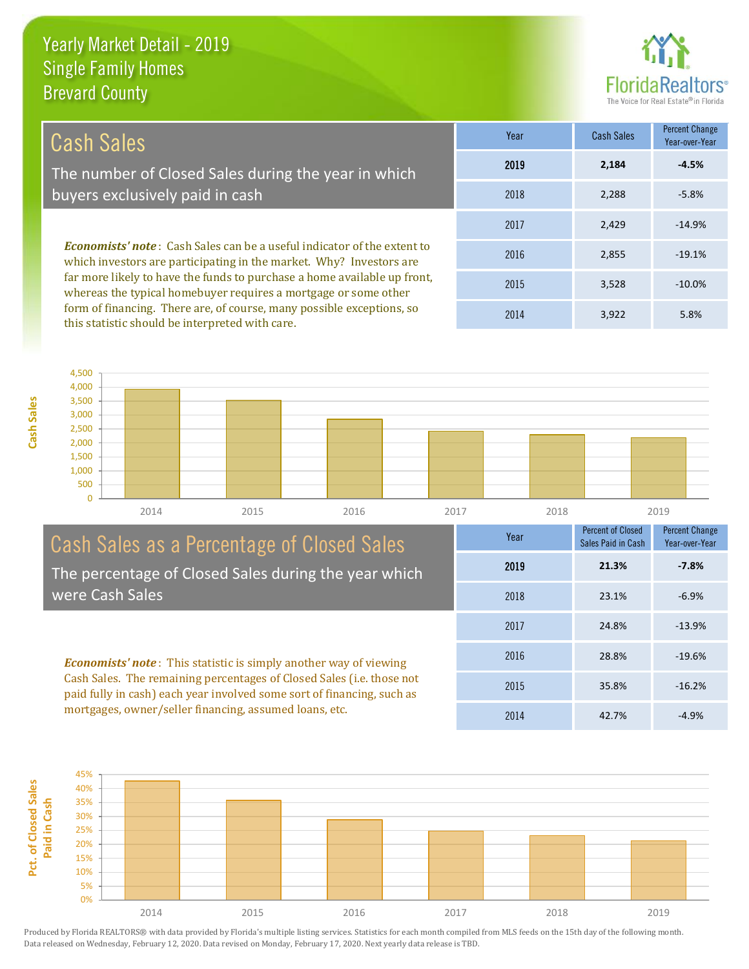this statistic should be interpreted with care.



3,922 5.8%

| Cash Sales                                                                                                                                            | Year | <b>Cash Sales</b> | Percent Change<br>Year-over-Year |
|-------------------------------------------------------------------------------------------------------------------------------------------------------|------|-------------------|----------------------------------|
| The number of Closed Sales during the year in which                                                                                                   | 2019 | 2,184             | $-4.5%$                          |
| buyers exclusively paid in cash                                                                                                                       | 2018 | 2,288             | $-5.8%$                          |
|                                                                                                                                                       | 2017 | 2,429             | $-14.9%$                         |
| <b>Economists' note:</b> Cash Sales can be a useful indicator of the extent to<br>which investors are participating in the market. Why? Investors are | 2016 | 2,855             | $-19.1%$                         |
| far more likely to have the funds to purchase a home available up front,<br>whereas the typical homebuyer requires a mortgage or some other           | 2015 | 3,528             | $-10.0\%$                        |
| form of financing. There are, of course, many possible exceptions, so                                                                                 | 0011 | 2022              | F.00/                            |

0 500 1,000 1,500 2,000 2,500 3,000 3,500 4,000 4,500 2014 2015 2016 2017 2018 2019

#### Cash Sales as a Percentage of Closed Sales The percentage of Closed Sales during the year which were Cash Sales

*Economists' note* : This statistic is simply another way of viewing Cash Sales. The remaining percentages of Closed Sales (i.e. those not paid fully in cash) each year involved some sort of financing, such as mortgages, owner/seller financing, assumed loans, etc.



2014

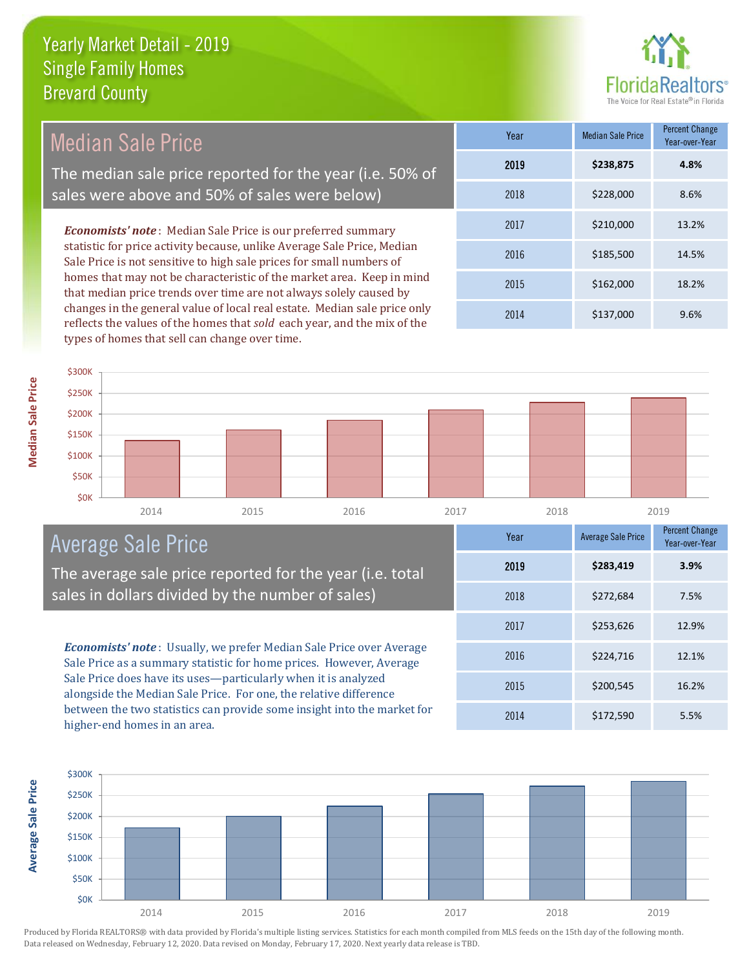

| <b>Median Sale Price</b>                                                                                                                                                                                                                                                                       | Year | <b>Median Sale Price</b> | Percent Change<br>Year-over-Year |
|------------------------------------------------------------------------------------------------------------------------------------------------------------------------------------------------------------------------------------------------------------------------------------------------|------|--------------------------|----------------------------------|
| The median sale price reported for the year (i.e. 50% of                                                                                                                                                                                                                                       | 2019 | \$238,875                | 4.8%                             |
| sales were above and 50% of sales were below)                                                                                                                                                                                                                                                  | 2018 | \$228,000                | 8.6%                             |
| <b>Economists' note:</b> Median Sale Price is our preferred summary                                                                                                                                                                                                                            | 2017 | \$210,000                | 13.2%                            |
| statistic for price activity because, unlike Average Sale Price, Median<br>Sale Price is not sensitive to high sale prices for small numbers of<br>homes that may not be characteristic of the market area. Keep in mind<br>that median price trends over time are not always solely caused by | 2016 | \$185,500                | 14.5%                            |
|                                                                                                                                                                                                                                                                                                | 2015 | \$162,000                | 18.2%                            |
| changes in the general value of local real estate. Median sale price only<br>المتعاطي المستحدث المتحافية المستحدثة والمستحدث                                                                                                                                                                   | 2014 | \$137,000                | 9.6%                             |

2014 2015 2016 2017 2018 2019 \$0K \$50K \$100K \$150K \$200K \$250K \$300K

## Average Sale Price

The average sale price reported for the year (i.e. total sales in dollars divided by the number of sales)

reflects the values of the homes that *sold* each year, and the mix of the

types of homes that sell can change over time.

*Economists' note* : Usually, we prefer Median Sale Price over Average Sale Price as a summary statistic for home prices. However, Average Sale Price does have its uses—particularly when it is analyzed alongside the Median Sale Price. For one, the relative difference between the two statistics can provide some insight into the market for higher-end homes in an area.

|   | ---  | ----                      | ----                                    |
|---|------|---------------------------|-----------------------------------------|
|   | Year | <b>Average Sale Price</b> | <b>Percent Change</b><br>Year-over-Year |
|   | 2019 | \$283,419                 | 3.9%                                    |
|   | 2018 | \$272,684                 | 7.5%                                    |
|   | 2017 | \$253,626                 | 12.9%                                   |
|   | 2016 | \$224,716                 | 12.1%                                   |
|   | 2015 | \$200,545                 | 16.2%                                   |
| r | 2014 | \$172,590                 | 5.5%                                    |



**Median Sale Price Median Sale Price**

**Average Sale Price Average Sale Price**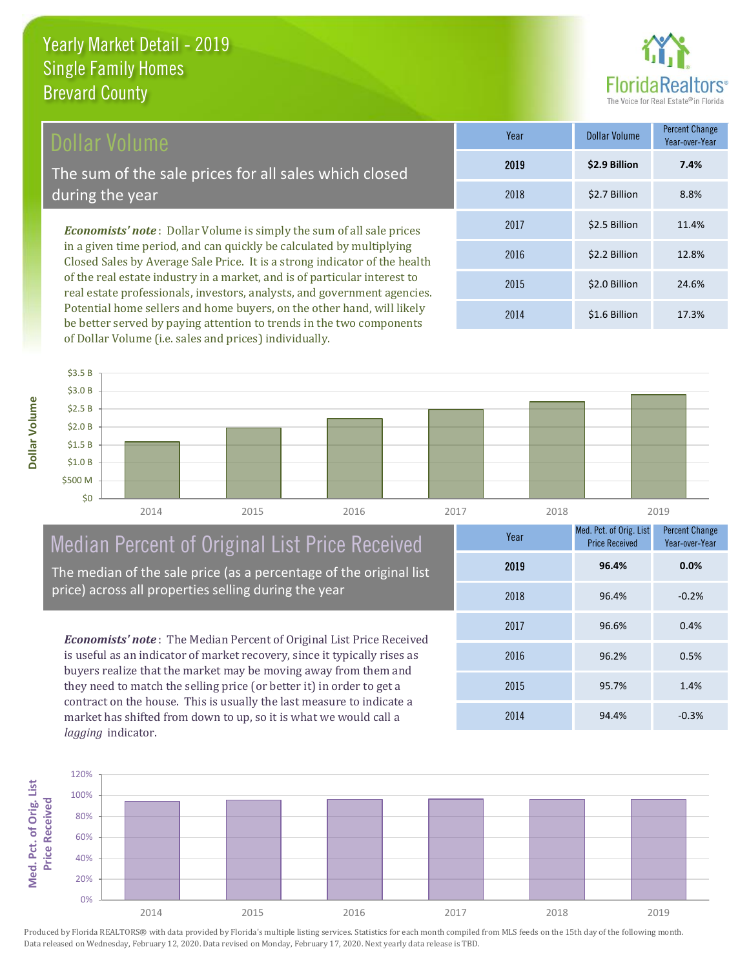### Dollar Volume

The sum of the sale prices for all sales which closed during the year

*Economists' note* : Dollar Volume is simply the sum of all sale prices in a given time period, and can quickly be calculated by multiplying Closed Sales by Average Sale Price. It is a strong indicator of the health of the real estate industry in a market, and is of particular interest to real estate professionals, investors, analysts, and government agencies. Potential home sellers and home buyers, on the other hand, will likely be better served by paying attention to trends in the two components of Dollar Volume (i.e. sales and prices) individually.

| Year | Dollar Volume | <b>Percent Change</b><br>Year-over-Year |
|------|---------------|-----------------------------------------|
| 2019 | \$2.9 Billion | 7.4%                                    |
| 2018 | \$2.7 Billion | 8.8%                                    |
| 2017 | \$2.5 Billion | 11.4%                                   |
| 2016 | \$2.2 Billion | 12.8%                                   |
| 2015 | \$2.0 Billion | 24.6%                                   |
| 2014 | \$1.6 Billion | 17.3%                                   |



## Median Percent of Original List Price Received

The median of the sale price (as a percentage of the original list price) across all properties selling during the year

*Economists' note* : The Median Percent of Original List Price Received is useful as an indicator of market recovery, since it typically rises as buyers realize that the market may be moving away from them and they need to match the selling price (or better it) in order to get a contract on the house. This is usually the last measure to indicate a market has shifted from down to up, so it is what we would call a *lagging* indicator.

| Year | Med. Pct. of Orig. List<br><b>Price Received</b> | <b>Percent Change</b><br>Year-over-Year |
|------|--------------------------------------------------|-----------------------------------------|
| 2019 | 96.4%                                            | 0.0%                                    |
| 2018 | 96.4%                                            | $-0.2%$                                 |
| 2017 | 96.6%                                            | 0.4%                                    |
| 2016 | 96.2%                                            | 0.5%                                    |
| 2015 | 95.7%                                            | 1.4%                                    |
| 2014 | 94.4%                                            | $-0.3%$                                 |

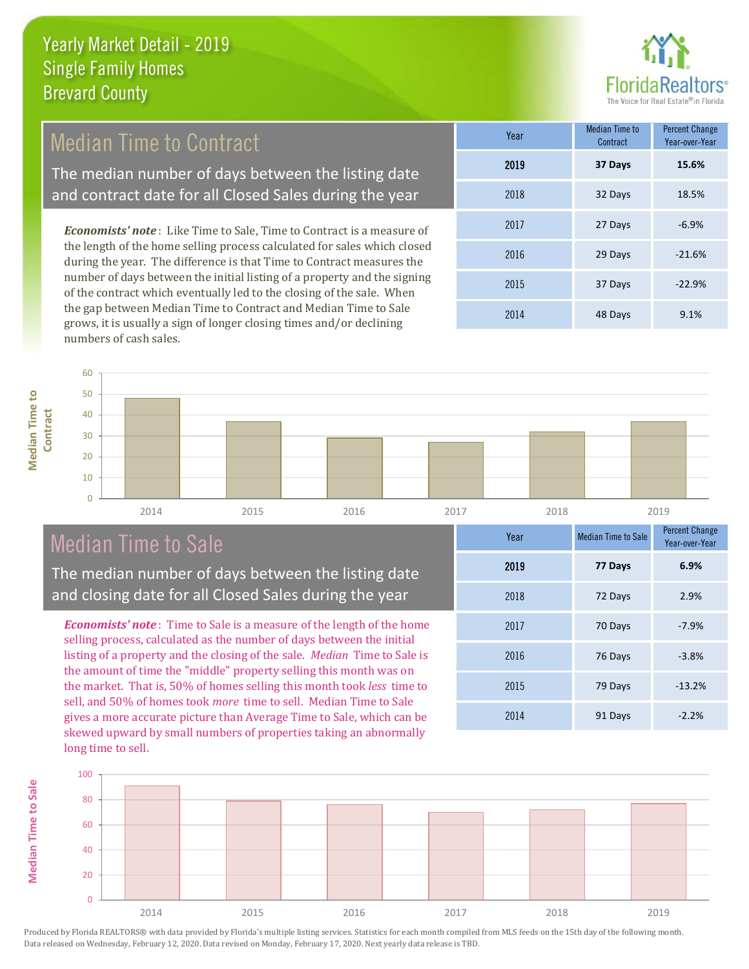

## Median Time to Contract

The median number of days between the listing date and contract date for all Closed Sales during the year

*Economists' note* : Like Time to Sale, Time to Contract is a measure of the length of the home selling process calculated for sales which closed during the year. The difference is that Time to Contract measures the number of days between the initial listing of a property and the signing of the contract which eventually led to the closing of the sale. When the gap between Median Time to Contract and Median Time to Sale grows, it is usually a sign of longer closing times and/or declining numbers of cash sales.

| Year | <b>Median Time to</b><br>Contract | <b>Percent Change</b><br>Year-over-Year |
|------|-----------------------------------|-----------------------------------------|
| 2019 | 37 Days                           | 15.6%                                   |
| 2018 | 32 Days                           | 18.5%                                   |
| 2017 | 27 Days                           | $-6.9%$                                 |
| 2016 | 29 Days                           | $-21.6%$                                |
| 2015 | 37 Days                           | $-22.9%$                                |
| 2014 | 48 Days                           | 9.1%                                    |



## Median Time to Sale

60

**Median Time to** 

**Median Time to** 

**Median Time to Sale**

**Median Time to Sale** 

The median number of days between the listing date and closing date for all Closed Sales during the year

*Economists' note* : Time to Sale is a measure of the length of the home selling process, calculated as the number of days between the initial listing of a property and the closing of the sale. *Median* Time to Sale is the amount of time the "middle" property selling this month was on the market. That is, 50% of homes selling this month took *less* time to sell, and 50% of homes took *more* time to sell. Median Time to Sale gives a more accurate picture than Average Time to Sale, which can be skewed upward by small numbers of properties taking an abnormally long time to sell.

| Year | <b>Median Time to Sale</b> | <b>Percent Change</b><br>Year-over-Year |
|------|----------------------------|-----------------------------------------|
| 2019 | 77 Days                    | 6.9%                                    |
| 2018 | 72 Days                    | 2.9%                                    |
| 2017 | 70 Days                    | $-7.9%$                                 |
| 2016 | 76 Days                    | $-3.8%$                                 |
| 2015 | 79 Days                    | $-13.2%$                                |
| 2014 | 91 Days                    | $-2.2%$                                 |

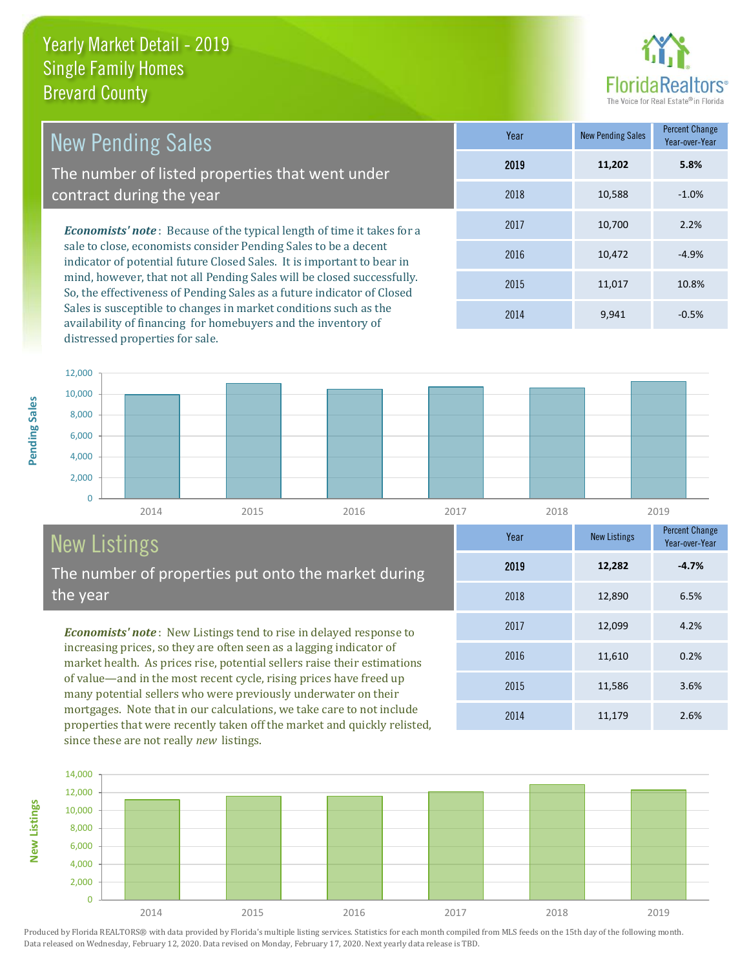distressed properties for sale.



2014 **9,941** -0.5%

**Year** New Listings Percent Change

2014 11,179 2.6%

2015 11,586 3.6%

2017 12,099 4.2%

2018 12,890 6.5%

2019 **12,282**

2016

11,610 0.2%

Year-over-Year

**-4.7%**

| New Pending Sales                                                                                                                                                                                                           | Year | <b>New Pending Sales</b> | Percent Change<br>Year-over-Year |
|-----------------------------------------------------------------------------------------------------------------------------------------------------------------------------------------------------------------------------|------|--------------------------|----------------------------------|
| The number of listed properties that went under                                                                                                                                                                             | 2019 | 11,202                   | 5.8%                             |
| contract during the year                                                                                                                                                                                                    | 2018 | 10,588                   | $-1.0%$                          |
| <b>Economists' note</b> : Because of the typical length of time it takes for a<br>sale to close, economists consider Pending Sales to be a decent<br>indicator of potential future Closed Sales. It is important to bear in | 2017 | 10,700                   | 2.2%                             |
|                                                                                                                                                                                                                             | 2016 | 10,472                   | $-4.9%$                          |
| mind, however, that not all Pending Sales will be closed successfully.<br>So, the effectiveness of Pending Sales as a future indicator of Closed                                                                            | 2015 | 11,017                   | 10.8%                            |

0 2,000 4,000 6,000 8,000 10,000 12,000 2014 2015 2016 2017 2018 2019

# New Listings

**New Listings**

**Pending Sales**

Pending Sales

The number of properties put onto the market during the year

Sales is susceptible to changes in market conditions such as the availability of financing for homebuyers and the inventory of

*Economists' note* : New Listings tend to rise in delayed response to increasing prices, so they are often seen as a lagging indicator of market health. As prices rise, potential sellers raise their estimations of value—and in the most recent cycle, rising prices have freed up many potential sellers who were previously underwater on their mortgages. Note that in our calculations, we take care to not include properties that were recently taken off the market and quickly relisted, since these are not really *new* listings.

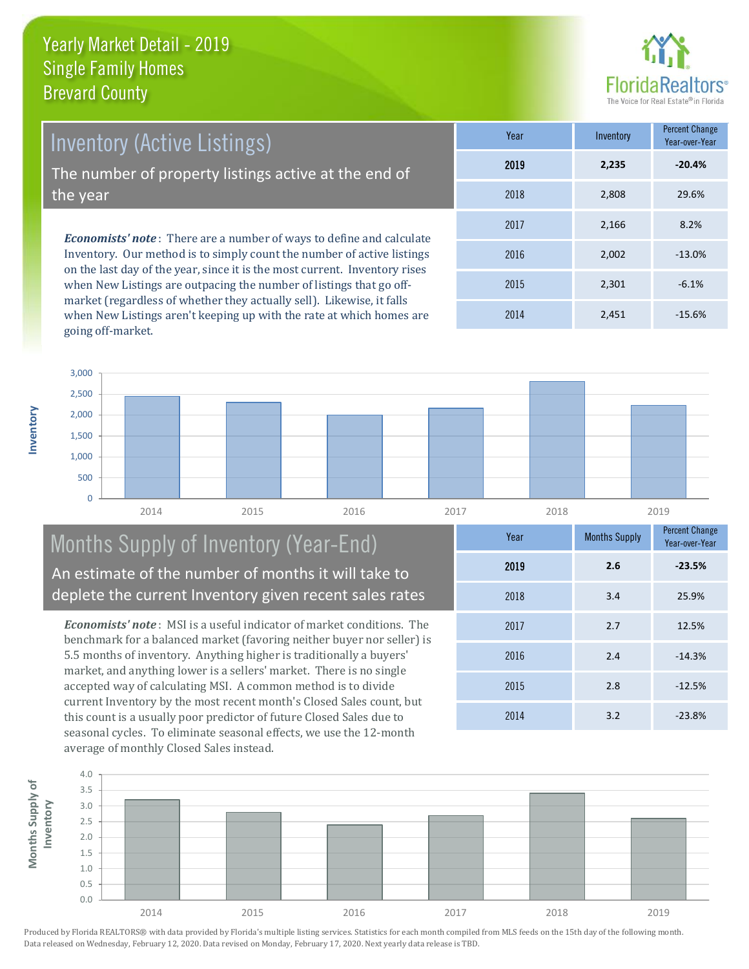

*Economists' note* : There are a number of ways to define and calculate Inventory. Our method is to simply count the number of active listings on the last day of the year, since it is the most current. Inventory rises Inventory (Active Listings) The number of property listings active at the end of the year

when New Listings are outpacing the number of listings that go offmarket (regardless of whether they actually sell). Likewise, it falls when New Listings aren't keeping up with the rate at which homes are going off-market.

| Year | Inventory | Percent Change<br>Year-over-Year |
|------|-----------|----------------------------------|
| 2019 | 2,235     | $-20.4%$                         |
| 2018 | 2,808     | 29.6%                            |
| 2017 | 2,166     | 8.2%                             |
| 2016 | 2,002     | $-13.0%$                         |
| 2015 | 2,301     | $-6.1%$                          |
| 2014 | 2,451     | $-15.6%$                         |



#### Months Supply of Inventory (Year-End) An estimate of the number of months it will take to deplete the current Inventory given recent sales rates

*Economists' note* : MSI is a useful indicator of market conditions. The benchmark for a balanced market (favoring neither buyer nor seller) is 5.5 months of inventory. Anything higher is traditionally a buyers' market, and anything lower is a sellers' market. There is no single accepted way of calculating MSI. A common method is to divide current Inventory by the most recent month's Closed Sales count, but this count is a usually poor predictor of future Closed Sales due to seasonal cycles. To eliminate seasonal effects, we use the 12-month average of monthly Closed Sales instead.

| Year | <b>Months Supply</b> | <b>Percent Change</b><br>Year-over-Year |
|------|----------------------|-----------------------------------------|
| 2019 | 2.6                  | $-23.5%$                                |
| 2018 | 3.4                  | 25.9%                                   |
| 2017 | 2.7                  | 12.5%                                   |
| 2016 | 2.4                  | $-14.3%$                                |
| 2015 | 2.8                  | $-12.5%$                                |
| 2014 | 3.2                  | $-23.8%$                                |



**Inventory**

**Months Supply of**  Months Supply of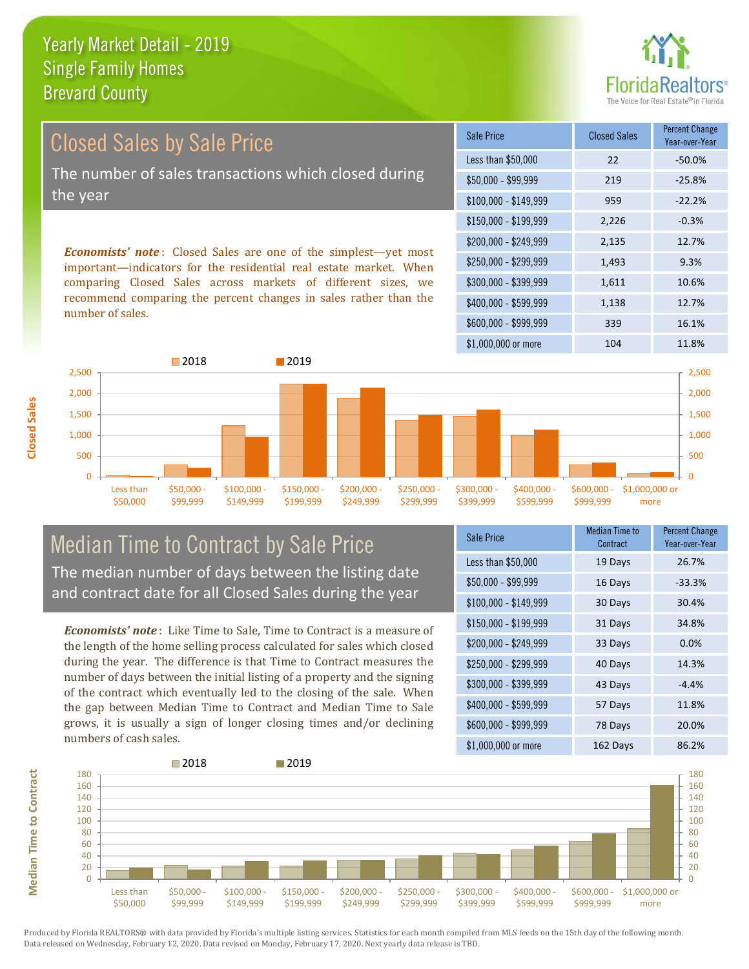

Year-over-Year

#### $$150,000 - $199,999$  2.226 -0.3% \$200,000 - \$249,999 2,135 12.7% \$100,000 - \$149,999 959 -22.2% Sale Price Closed Sales Percent Change Less than \$50,000 22 -50.0% \$50,000 - \$99,999 219 -25.8% Closed Sales by Sale Price The number of sales transactions which closed during the year

*Economists' note* : Closed Sales are one of the simplest—yet most important—indicators for the residential real estate market. When comparing Closed Sales across markets of different sizes, we recommend comparing the percent changes in sales rather than the number of sales.



#### Median Time to Contract by Sale Price The median number of days between the listing date and contract date for all Closed Sales during the year

*Economists' note* : Like Time to Sale, Time to Contract is a measure of the length of the home selling process calculated for sales which closed during the year. The difference is that Time to Contract measures the number of days between the initial listing of a property and the signing of the contract which eventually led to the closing of the sale. When the gap between Median Time to Contract and Median Time to Sale grows, it is usually a sign of longer closing times and/or declining numbers of cash sales.

| <b>Sale Price</b>            | Median Time to<br>Contract | <b>Percent Change</b><br>Year-over-Year |
|------------------------------|----------------------------|-----------------------------------------|
| Less than \$50,000           | 19 Days                    | 26.7%                                   |
| \$50,000 - \$99,999          | 16 Days                    | $-33.3%$                                |
| $$100,000 - $149,999$        | 30 Days                    | 30.4%                                   |
| $$150,000 - $199,999$        | 31 Days                    | 34.8%                                   |
| \$200,000 - \$249,999        | 33 Days                    | 0.0%                                    |
| \$250,000 - \$299,999        | 40 Days                    | 14.3%                                   |
| \$300,000 - \$399,999        | 43 Days                    | $-4.4%$                                 |
| \$400,000 - \$599,999        | 57 Days                    | 11.8%                                   |
| \$600,000 - \$999,999        | 78 Days                    | 20.0%                                   |
| $$1.000.00 \text{ arc}$ more | $162 \text{ N}$            | $OC$ $20/$                              |

\$250,000 - \$299,999 1,493 9.3% \$300,000 - \$399,999 1,611 10.6%

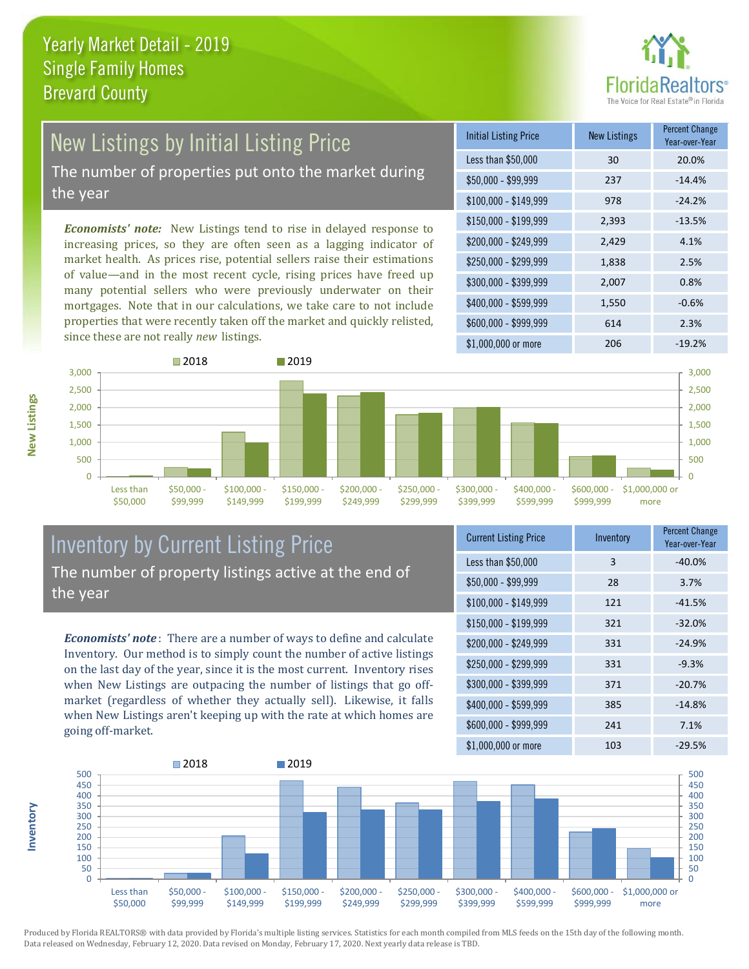

## New Listings by Initial Listing Price

The number of properties put onto the market during the year

*Economists' note:* New Listings tend to rise in delayed response to increasing prices, so they are often seen as a lagging indicator of market health. As prices rise, potential sellers raise their estimations of value—and in the most recent cycle, rising prices have freed up many potential sellers who were previously underwater on their mortgages. Note that in our calculations, we take care to not include properties that were recently taken off the market and quickly relisted, since these are not really *new* listings.

| <b>Initial Listing Price</b> | <b>New Listings</b> | <b>Percent Change</b><br>Year-over-Year |
|------------------------------|---------------------|-----------------------------------------|
| Less than \$50,000           | 30                  | 20.0%                                   |
| \$50,000 - \$99,999          | 237                 | $-14.4%$                                |
| $$100,000 - $149,999$        | 978                 | $-24.2%$                                |
| $$150,000 - $199,999$        | 2,393               | $-13.5%$                                |
| \$200,000 - \$249,999        | 2,429               | 4.1%                                    |
| \$250,000 - \$299,999        | 1,838               | 2.5%                                    |
| \$300,000 - \$399,999        | 2,007               | 0.8%                                    |
| \$400,000 - \$599,999        | 1,550               | $-0.6%$                                 |
| \$600,000 - \$999,999        | 614                 | 2.3%                                    |
| \$1,000,000 or more          | 206                 | $-19.2%$                                |



#### Inventory by Current Listing Price The number of property listings active at the end of the year

*Economists' note* : There are a number of ways to define and calculate Inventory. Our method is to simply count the number of active listings on the last day of the year, since it is the most current. Inventory rises when New Listings are outpacing the number of listings that go offmarket (regardless of whether they actually sell). Likewise, it falls when New Listings aren't keeping up with the rate at which homes are going off-market.

| <b>Current Listing Price</b> | Inventory | Percent Change<br>Year-over-Year |
|------------------------------|-----------|----------------------------------|
| Less than \$50,000           | 3         | $-40.0%$                         |
| $$50,000 - $99,999$          | 28        | 3.7%                             |
| $$100,000 - $149,999$        | 121       | $-41.5%$                         |
| $$150,000 - $199,999$        | 321       | $-32.0%$                         |
| \$200,000 - \$249,999        | 331       | $-24.9%$                         |
| \$250,000 - \$299,999        | 331       | $-9.3%$                          |
| \$300,000 - \$399,999        | 371       | $-20.7%$                         |
| \$400,000 - \$599,999        | 385       | $-14.8%$                         |
| \$600,000 - \$999,999        | 241       | 7.1%                             |
| \$1,000,000 or more          | 103       | $-29.5%$                         |



**Inventory**